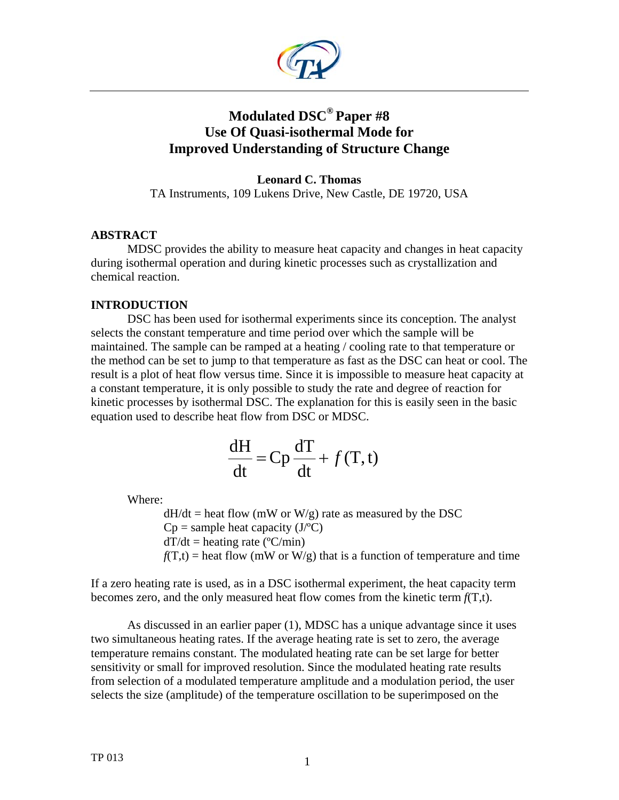

# **Modulated DSC® Paper #8 Use Of Quasi-isothermal Mode for Improved Understanding of Structure Change**

## **Leonard C. Thomas**

TA Instruments, 109 Lukens Drive, New Castle, DE 19720, USA

## **ABSTRACT**

 MDSC provides the ability to measure heat capacity and changes in heat capacity during isothermal operation and during kinetic processes such as crystallization and chemical reaction.

# **INTRODUCTION**

DSC has been used for isothermal experiments since its conception. The analyst selects the constant temperature and time period over which the sample will be maintained. The sample can be ramped at a heating / cooling rate to that temperature or the method can be set to jump to that temperature as fast as the DSC can heat or cool. The result is a plot of heat flow versus time. Since it is impossible to measure heat capacity at a constant temperature, it is only possible to study the rate and degree of reaction for kinetic processes by isothermal DSC. The explanation for this is easily seen in the basic equation used to describe heat flow from DSC or MDSC.

$$
\frac{dH}{dt} = Cp \frac{dT}{dt} + f(T, t)
$$

Where:

 $dH/dt$  = heat flow (mW or W/g) rate as measured by the DSC  $Cp =$  sample heat capacity (J $\degree$ C)  $dT/dt$  = heating rate ( $\degree$ C/min)  $f(T,t)$  = heat flow (mW or W/g) that is a function of temperature and time

If a zero heating rate is used, as in a DSC isothermal experiment, the heat capacity term becomes zero, and the only measured heat flow comes from the kinetic term *f*(T,t).

As discussed in an earlier paper (1), MDSC has a unique advantage since it uses two simultaneous heating rates. If the average heating rate is set to zero, the average temperature remains constant. The modulated heating rate can be set large for better sensitivity or small for improved resolution. Since the modulated heating rate results from selection of a modulated temperature amplitude and a modulation period, the user selects the size (amplitude) of the temperature oscillation to be superimposed on the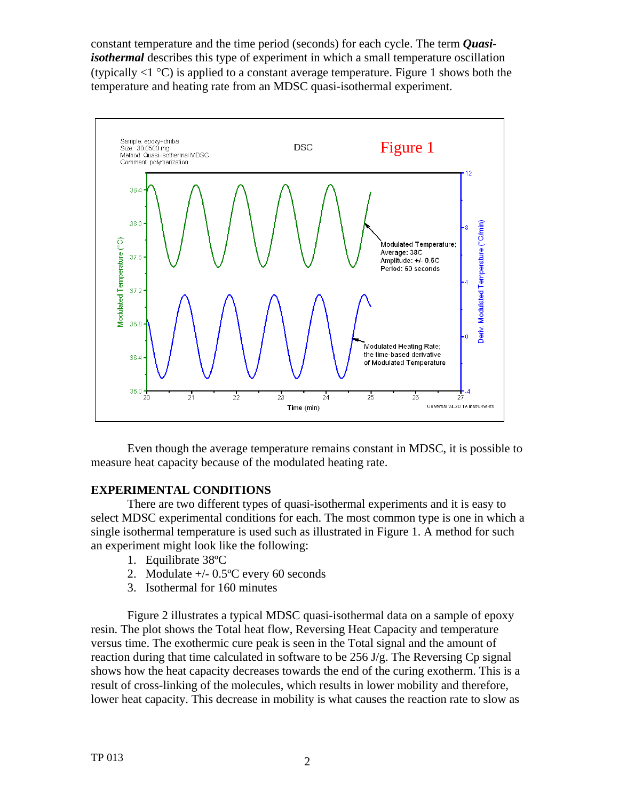constant temperature and the time period (seconds) for each cycle. The term *Quasiisothermal* describes this type of experiment in which a small temperature oscillation (typically  $\langle 1 \, \text{°C} \rangle$ ) is applied to a constant average temperature. Figure 1 shows both the temperature and heating rate from an MDSC quasi-isothermal experiment.



Even though the average temperature remains constant in MDSC, it is possible to measure heat capacity because of the modulated heating rate.

## **EXPERIMENTAL CONDITIONS**

There are two different types of quasi-isothermal experiments and it is easy to select MDSC experimental conditions for each. The most common type is one in which a single isothermal temperature is used such as illustrated in Figure 1. A method for such an experiment might look like the following:

- 1. Equilibrate 38ºC
- 2. Modulate +/- 0.5ºC every 60 seconds
- 3. Isothermal for 160 minutes

Figure 2 illustrates a typical MDSC quasi-isothermal data on a sample of epoxy resin. The plot shows the Total heat flow, Reversing Heat Capacity and temperature versus time. The exothermic cure peak is seen in the Total signal and the amount of reaction during that time calculated in software to be 256 J/g. The Reversing Cp signal shows how the heat capacity decreases towards the end of the curing exotherm. This is a result of cross-linking of the molecules, which results in lower mobility and therefore, lower heat capacity. This decrease in mobility is what causes the reaction rate to slow as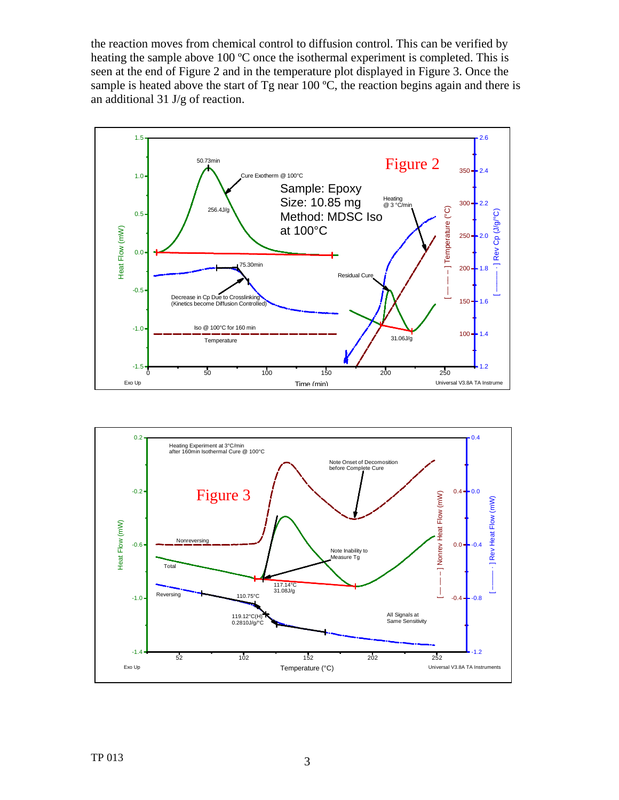the reaction moves from chemical control to diffusion control. This can be verified by heating the sample above 100 ºC once the isothermal experiment is completed. This is seen at the end of Figure 2 and in the temperature plot displayed in Figure 3. Once the sample is heated above the start of Tg near 100  $\degree$ C, the reaction begins again and there is an additional 31 J/g of reaction.



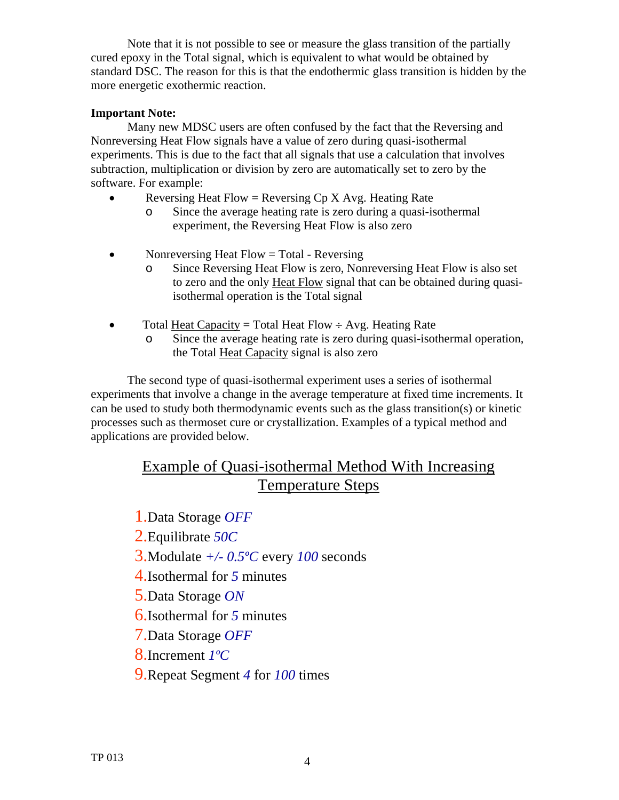Note that it is not possible to see or measure the glass transition of the partially cured epoxy in the Total signal, which is equivalent to what would be obtained by standard DSC. The reason for this is that the endothermic glass transition is hidden by the more energetic exothermic reaction.

# **Important Note:**

 Many new MDSC users are often confused by the fact that the Reversing and Nonreversing Heat Flow signals have a value of zero during quasi-isothermal experiments. This is due to the fact that all signals that use a calculation that involves subtraction, multiplication or division by zero are automatically set to zero by the software. For example:

- Reversing Heat Flow = Reversing  $Cp X Avg$ . Heating Rate
	- o Since the average heating rate is zero during a quasi-isothermal experiment, the Reversing Heat Flow is also zero
- Nonreversing Heat Flow = Total Reversing
	- o Since Reversing Heat Flow is zero, Nonreversing Heat Flow is also set to zero and the only Heat Flow signal that can be obtained during quasiisothermal operation is the Total signal
- Total Heat Capacity = Total Heat Flow  $\div$  Avg. Heating Rate
	- o Since the average heating rate is zero during quasi-isothermal operation, the Total Heat Capacity signal is also zero

The second type of quasi-isothermal experiment uses a series of isothermal experiments that involve a change in the average temperature at fixed time increments. It can be used to study both thermodynamic events such as the glass transition(s) or kinetic processes such as thermoset cure or crystallization. Examples of a typical method and applications are provided below.

# Example of Quasi-isothermal Method With Increasing Temperature Steps

1.Data Storage *OFF*

2.Equilibrate *50C* 

3.Modulate *+/- 0.5ºC* every *100* seconds

4.Isothermal for *5* minutes

5.Data Storage *ON* 

6.Isothermal for *5* minutes

7.Data Storage *OFF* 

8.Increment *1ºC* 

9.Repeat Segment *4* for *100* times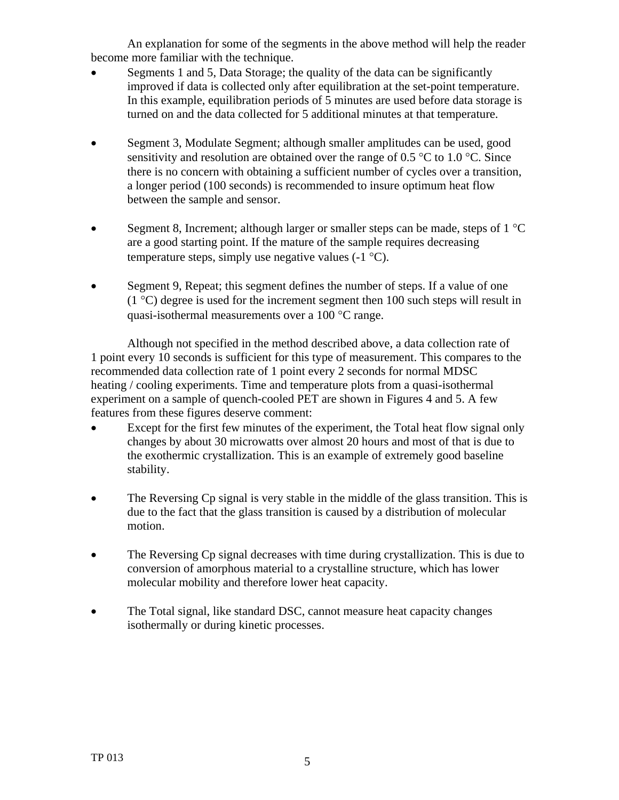An explanation for some of the segments in the above method will help the reader become more familiar with the technique.

- Segments 1 and 5, Data Storage; the quality of the data can be significantly improved if data is collected only after equilibration at the set-point temperature. In this example, equilibration periods of 5 minutes are used before data storage is turned on and the data collected for 5 additional minutes at that temperature.
- Segment 3, Modulate Segment; although smaller amplitudes can be used, good sensitivity and resolution are obtained over the range of 0.5  $\degree$ C to 1.0  $\degree$ C. Since there is no concern with obtaining a sufficient number of cycles over a transition, a longer period (100 seconds) is recommended to insure optimum heat flow between the sample and sensor.
- Segment 8, Increment; although larger or smaller steps can be made, steps of  $1^{\circ}C$ are a good starting point. If the mature of the sample requires decreasing temperature steps, simply use negative values  $(-1 \degree C)$ .
- Segment 9, Repeat; this segment defines the number of steps. If a value of one  $(1 \degree C)$  degree is used for the increment segment then 100 such steps will result in quasi-isothermal measurements over a 100 °C range.

Although not specified in the method described above, a data collection rate of 1 point every 10 seconds is sufficient for this type of measurement. This compares to the recommended data collection rate of 1 point every 2 seconds for normal MDSC heating / cooling experiments. Time and temperature plots from a quasi-isothermal experiment on a sample of quench-cooled PET are shown in Figures 4 and 5. A few features from these figures deserve comment:

- Except for the first few minutes of the experiment, the Total heat flow signal only changes by about 30 microwatts over almost 20 hours and most of that is due to the exothermic crystallization. This is an example of extremely good baseline stability.
- The Reversing Cp signal is very stable in the middle of the glass transition. This is due to the fact that the glass transition is caused by a distribution of molecular motion.
- The Reversing Cp signal decreases with time during crystallization. This is due to conversion of amorphous material to a crystalline structure, which has lower molecular mobility and therefore lower heat capacity.
- The Total signal, like standard DSC, cannot measure heat capacity changes isothermally or during kinetic processes.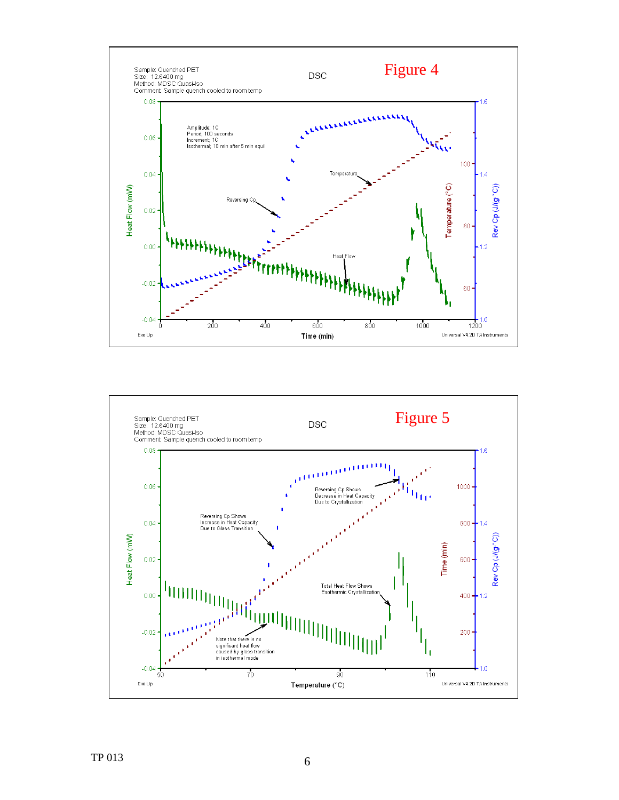

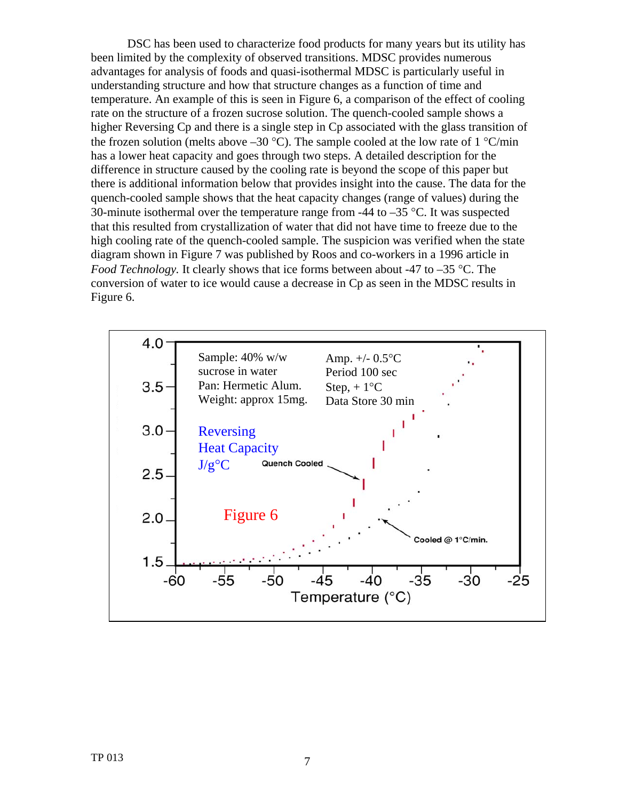DSC has been used to characterize food products for many years but its utility has been limited by the complexity of observed transitions. MDSC provides numerous advantages for analysis of foods and quasi-isothermal MDSC is particularly useful in understanding structure and how that structure changes as a function of time and temperature. An example of this is seen in Figure 6, a comparison of the effect of cooling rate on the structure of a frozen sucrose solution. The quench-cooled sample shows a higher Reversing Cp and there is a single step in Cp associated with the glass transition of the frozen solution (melts above  $-30$  °C). The sample cooled at the low rate of 1 °C/min has a lower heat capacity and goes through two steps. A detailed description for the difference in structure caused by the cooling rate is beyond the scope of this paper but there is additional information below that provides insight into the cause. The data for the quench-cooled sample shows that the heat capacity changes (range of values) during the 30-minute isothermal over the temperature range from -44 to  $-35$  °C. It was suspected that this resulted from crystallization of water that did not have time to freeze due to the high cooling rate of the quench-cooled sample. The suspicion was verified when the state diagram shown in Figure 7 was published by Roos and co-workers in a 1996 article in *Food Technology.* It clearly shows that ice forms between about -47 to -35 °C. The conversion of water to ice would cause a decrease in Cp as seen in the MDSC results in Figure 6.

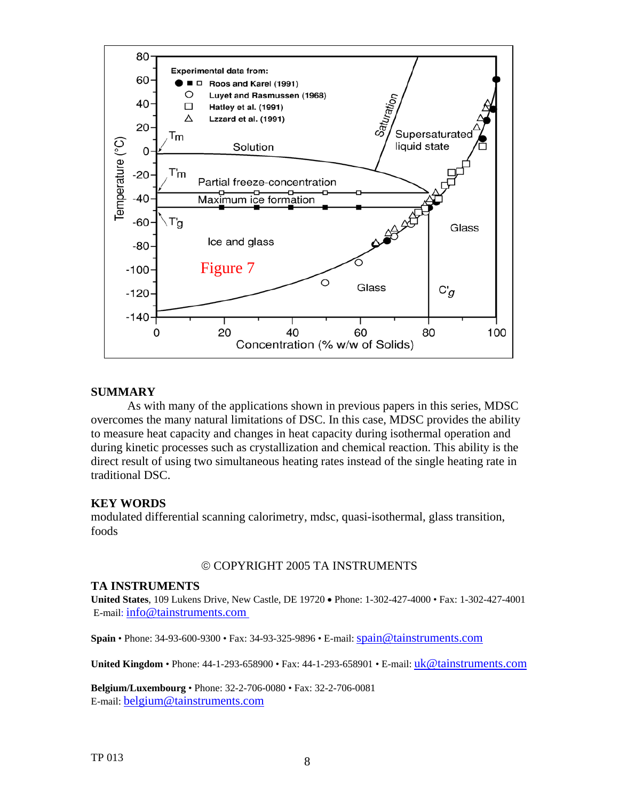

#### **SUMMARY**

As with many of the applications shown in previous papers in this series, MDSC overcomes the many natural limitations of DSC. In this case, MDSC provides the ability to measure heat capacity and changes in heat capacity during isothermal operation and during kinetic processes such as crystallization and chemical reaction. This ability is the direct result of using two simultaneous heating rates instead of the single heating rate in traditional DSC.

#### **KEY WORDS**

modulated differential scanning calorimetry, mdsc, quasi-isothermal, glass transition, foods

## © COPYRIGHT 2005 TA INSTRUMENTS

### **TA INSTRUMENTS**

**United States**, 109 Lukens Drive, New Castle, DE 19720 • Phone: 1-302-427-4000 • Fax: 1-302-427-4001 E-mail: info@tainstruments.com

**Spain** • Phone: 34-93-600-9300 • Fax: 34-93-325-9896 • E-mail: spain@tainstruments.com

**United Kingdom •** Phone: 44-1-293-658900 • Fax: 44-1-293-658901 • E-mail: [uk@tainstruments.com](mailto:uk@tainstruments.com)

**Belgium/Luxembourg** • Phone: 32-2-706-0080 • Fax: 32-2-706-0081 E-mail: belgium@tainstruments.com